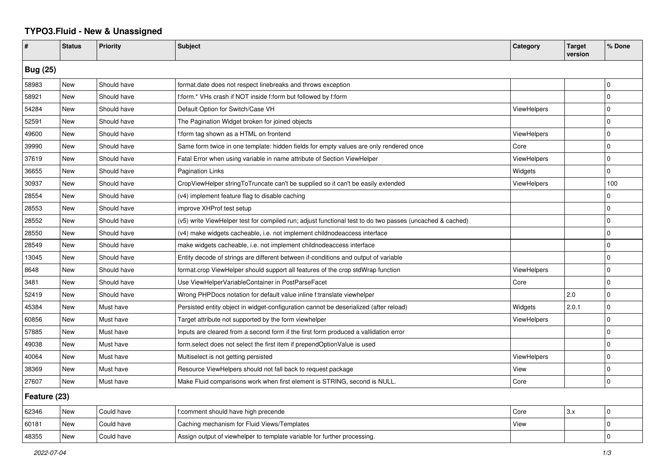## **TYPO3.Fluid - New & Unassigned**

| #               | <b>Status</b> | <b>Priority</b> | <b>Subject</b>                                                                                           | Category           | <b>Target</b><br>version | % Done       |  |  |
|-----------------|---------------|-----------------|----------------------------------------------------------------------------------------------------------|--------------------|--------------------------|--------------|--|--|
| <b>Bug (25)</b> |               |                 |                                                                                                          |                    |                          |              |  |  |
| 58983           | New           | Should have     | format.date does not respect linebreaks and throws exception                                             |                    |                          | $\mathbf 0$  |  |  |
| 58921           | <b>New</b>    | Should have     | f:form.* VHs crash if NOT inside f:form but followed by f:form                                           |                    |                          | $\mathbf 0$  |  |  |
| 54284           | New           | Should have     | Default Option for Switch/Case VH                                                                        | <b>ViewHelpers</b> |                          | $\Omega$     |  |  |
| 52591           | New           | Should have     | The Pagination Widget broken for joined objects                                                          |                    |                          | $\Omega$     |  |  |
| 49600           | New           | Should have     | f:form tag shown as a HTML on frontend                                                                   | <b>ViewHelpers</b> |                          | $\mathbf 0$  |  |  |
| 39990           | New           | Should have     | Same form twice in one template: hidden fields for empty values are only rendered once                   | Core               |                          | $\mathbf 0$  |  |  |
| 37619           | New           | Should have     | Fatal Error when using variable in name attribute of Section ViewHelper                                  | ViewHelpers        |                          | $\Omega$     |  |  |
| 36655           | New           | Should have     | Pagination Links                                                                                         | Widgets            |                          | $\mathbf 0$  |  |  |
| 30937           | New           | Should have     | CropViewHelper stringToTruncate can't be supplied so it can't be easily extended                         | <b>ViewHelpers</b> |                          | 100          |  |  |
| 28554           | New           | Should have     | (v4) implement feature flag to disable caching                                                           |                    |                          | 0            |  |  |
| 28553           | New           | Should have     | improve XHProf test setup                                                                                |                    |                          | $\mathbf{0}$ |  |  |
| 28552           | New           | Should have     | (v5) write ViewHelper test for compiled run; adjust functional test to do two passes (uncached & cached) |                    |                          | 0            |  |  |
| 28550           | New           | Should have     | (v4) make widgets cacheable, i.e. not implement childnodeaccess interface                                |                    |                          | $\mathbf 0$  |  |  |
| 28549           | New           | Should have     | make widgets cacheable, i.e. not implement childnodeaccess interface                                     |                    |                          | $\Omega$     |  |  |
| 13045           | New           | Should have     | Entity decode of strings are different between if-conditions and output of variable                      |                    |                          | $\mathbf 0$  |  |  |
| 8648            | <b>New</b>    | Should have     | format.crop ViewHelper should support all features of the crop stdWrap function                          | <b>ViewHelpers</b> |                          | $\mathbf 0$  |  |  |
| 3481            | New           | Should have     | Use ViewHelperVariableContainer in PostParseFacet                                                        | Core               |                          | $\mathbf 0$  |  |  |
| 52419           | New           | Should have     | Wrong PHPDocs notation for default value inline f:translate viewhelper                                   |                    | 2.0                      | $\Omega$     |  |  |
| 45384           | New           | Must have       | Persisted entity object in widget-configuration cannot be deserialized (after reload)                    | Widgets            | 2.0.1                    | $\Omega$     |  |  |
| 60856           | New           | Must have       | Target attribute not supported by the form viewhelper                                                    | ViewHelpers        |                          | $\mathbf 0$  |  |  |
| 57885           | New           | Must have       | Inputs are cleared from a second form if the first form produced a vallidation error                     |                    |                          | $\mathbf{0}$ |  |  |
| 49038           | New           | Must have       | form select does not select the first item if prependOptionValue is used                                 |                    |                          | 0            |  |  |
| 40064           | New           | Must have       | Multiselect is not getting persisted                                                                     | <b>ViewHelpers</b> |                          | $\mathbf 0$  |  |  |
| 38369           | New           | Must have       | Resource ViewHelpers should not fall back to request package                                             | View               |                          | $\mathbf 0$  |  |  |
| 27607           | <b>New</b>    | Must have       | Make Fluid comparisons work when first element is STRING, second is NULL.                                | Core               |                          | $\mathbf 0$  |  |  |
| Feature (23)    |               |                 |                                                                                                          |                    |                          |              |  |  |
| 62346           | <b>New</b>    | Could have      | f:comment should have high precende                                                                      | Core               | 3.x                      | $\mathbf 0$  |  |  |
| 60181           | New           | Could have      | Caching mechanism for Fluid Views/Templates                                                              | View               |                          | $\mathbf 0$  |  |  |
| 48355           | New           | Could have      | Assign output of viewhelper to template variable for further processing.                                 |                    |                          | $\mathbf 0$  |  |  |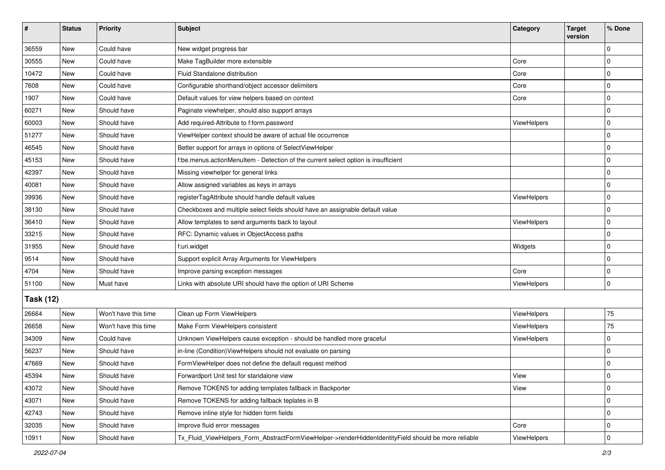| $\vert$ #        | <b>Status</b> | Priority             | Subject                                                                                             | Category           | <b>Target</b><br>version | % Done      |  |  |
|------------------|---------------|----------------------|-----------------------------------------------------------------------------------------------------|--------------------|--------------------------|-------------|--|--|
| 36559            | New           | Could have           | New widget progress bar                                                                             |                    |                          | $\Omega$    |  |  |
| 30555            | New           | Could have           | Make TagBuilder more extensible                                                                     | Core               |                          | 0           |  |  |
| 10472            | New           | Could have           | Fluid Standalone distribution                                                                       | Core               |                          | $\Omega$    |  |  |
| 7608             | <b>New</b>    | Could have           | Configurable shorthand/object accessor delimiters                                                   | Core               |                          | 0           |  |  |
| 1907             | <b>New</b>    | Could have           | Default values for view helpers based on context                                                    | Core               |                          | 0           |  |  |
| 60271            | New           | Should have          | Paginate viewhelper, should also support arrays                                                     |                    |                          | $\mathbf 0$ |  |  |
| 60003            | New           | Should have          | Add required-Attribute to f:form.password                                                           | ViewHelpers        |                          | $\mathbf 0$ |  |  |
| 51277            | New           | Should have          | ViewHelper context should be aware of actual file occurrence                                        |                    |                          | $\mathbf 0$ |  |  |
| 46545            | New           | Should have          | Better support for arrays in options of SelectViewHelper                                            |                    |                          | $\mathbf 0$ |  |  |
| 45153            | New           | Should have          | f:be.menus.actionMenuItem - Detection of the current select option is insufficient                  |                    |                          | 0           |  |  |
| 42397            | New           | Should have          | Missing viewhelper for general links                                                                |                    |                          | $\Omega$    |  |  |
| 40081            | <b>New</b>    | Should have          | Allow assigned variables as keys in arrays                                                          |                    |                          | $\mathbf 0$ |  |  |
| 39936            | New           | Should have          | registerTagAttribute should handle default values                                                   | <b>ViewHelpers</b> |                          | $\mathbf 0$ |  |  |
| 38130            | <b>New</b>    | Should have          | Checkboxes and multiple select fields should have an assignable default value                       |                    |                          | $\mathbf 0$ |  |  |
| 36410            | New           | Should have          | Allow templates to send arguments back to layout                                                    | <b>ViewHelpers</b> |                          | 0           |  |  |
| 33215            | New           | Should have          | RFC: Dynamic values in ObjectAccess paths                                                           |                    |                          | $\Omega$    |  |  |
| 31955            | <b>New</b>    | Should have          | f:uri.widget                                                                                        | Widgets            |                          | $\mathbf 0$ |  |  |
| 9514             | New           | Should have          | Support explicit Array Arguments for ViewHelpers                                                    |                    |                          | $\mathbf 0$ |  |  |
| 4704             | New           | Should have          | Improve parsing exception messages                                                                  | Core               |                          | $\mathbf 0$ |  |  |
| 51100            | <b>New</b>    | Must have            | Links with absolute URI should have the option of URI Scheme                                        | ViewHelpers        |                          | $\mathbf 0$ |  |  |
| <b>Task (12)</b> |               |                      |                                                                                                     |                    |                          |             |  |  |
| 26664            | New           | Won't have this time | Clean up Form ViewHelpers                                                                           | ViewHelpers        |                          | 75          |  |  |
| 26658            | <b>New</b>    | Won't have this time | Make Form ViewHelpers consistent                                                                    | ViewHelpers        |                          | 75          |  |  |
| 34309            | New           | Could have           | Unknown ViewHelpers cause exception - should be handled more graceful                               | ViewHelpers        |                          | $\Omega$    |  |  |
| 56237            | <b>New</b>    | Should have          | in-line (Condition) ViewHelpers should not evaluate on parsing                                      |                    |                          | $\Omega$    |  |  |
| 47669            | New           | Should have          | FormViewHelper does not define the default request method                                           |                    |                          | 0           |  |  |
| 45394            | New           | Should have          | Forwardport Unit test for standalone view                                                           | View               |                          | 0           |  |  |
| 43072            | New           | Should have          | Remove TOKENS for adding templates fallback in Backporter                                           | View               |                          | $\mathbf 0$ |  |  |
| 43071            | New           | Should have          | Remove TOKENS for adding fallback teplates in B                                                     |                    |                          | 0           |  |  |
| 42743            | <b>New</b>    | Should have          | Remove inline style for hidden form fields                                                          |                    |                          | $\mathbf 0$ |  |  |
| 32035            | New           | Should have          | Improve fluid error messages                                                                        | Core               |                          | 0           |  |  |
| 10911            | New           | Should have          | Tx Fluid ViewHelpers Form AbstractFormViewHelper->renderHiddenIdentityField should be more reliable | ViewHelpers        |                          | $\pmb{0}$   |  |  |